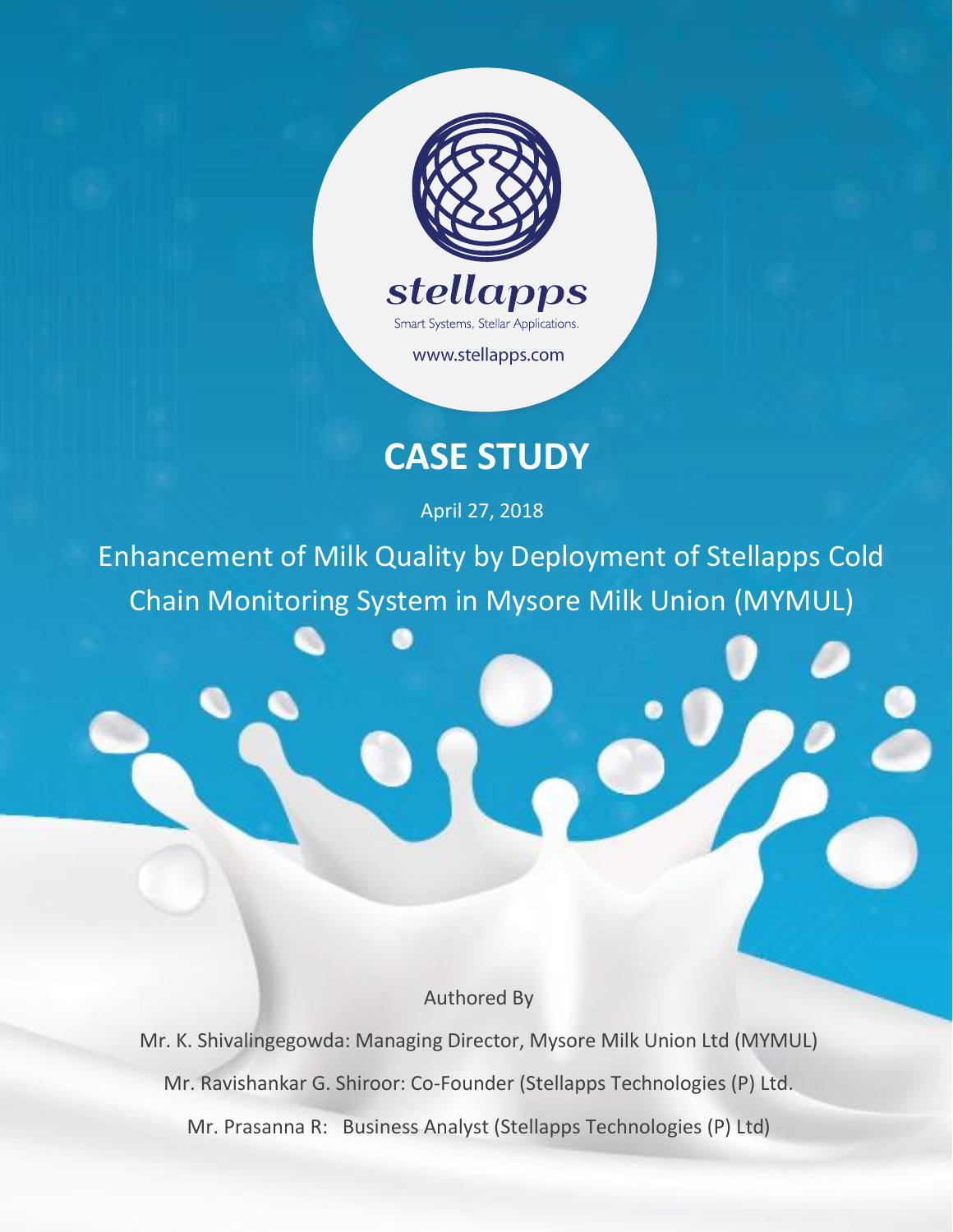

www.stellapps.com

# **CASE STUDY**

April 27, 2018

Enhancement of Milk Quality by Deployment of Stellapps Cold Chain Monitoring System in Mysore Milk Union (MYMUL)

Authored By

Mr. K. Shivalingegowda: Managing Director, Mysore Milk Union Ltd (MYMUL) Mr. Ravishankar G. Shiroor: Co-Founder (Stellapps Technologies (P) Ltd. Mr. Prasanna R: Business Analyst (Stellapps Technologies (P) Ltd)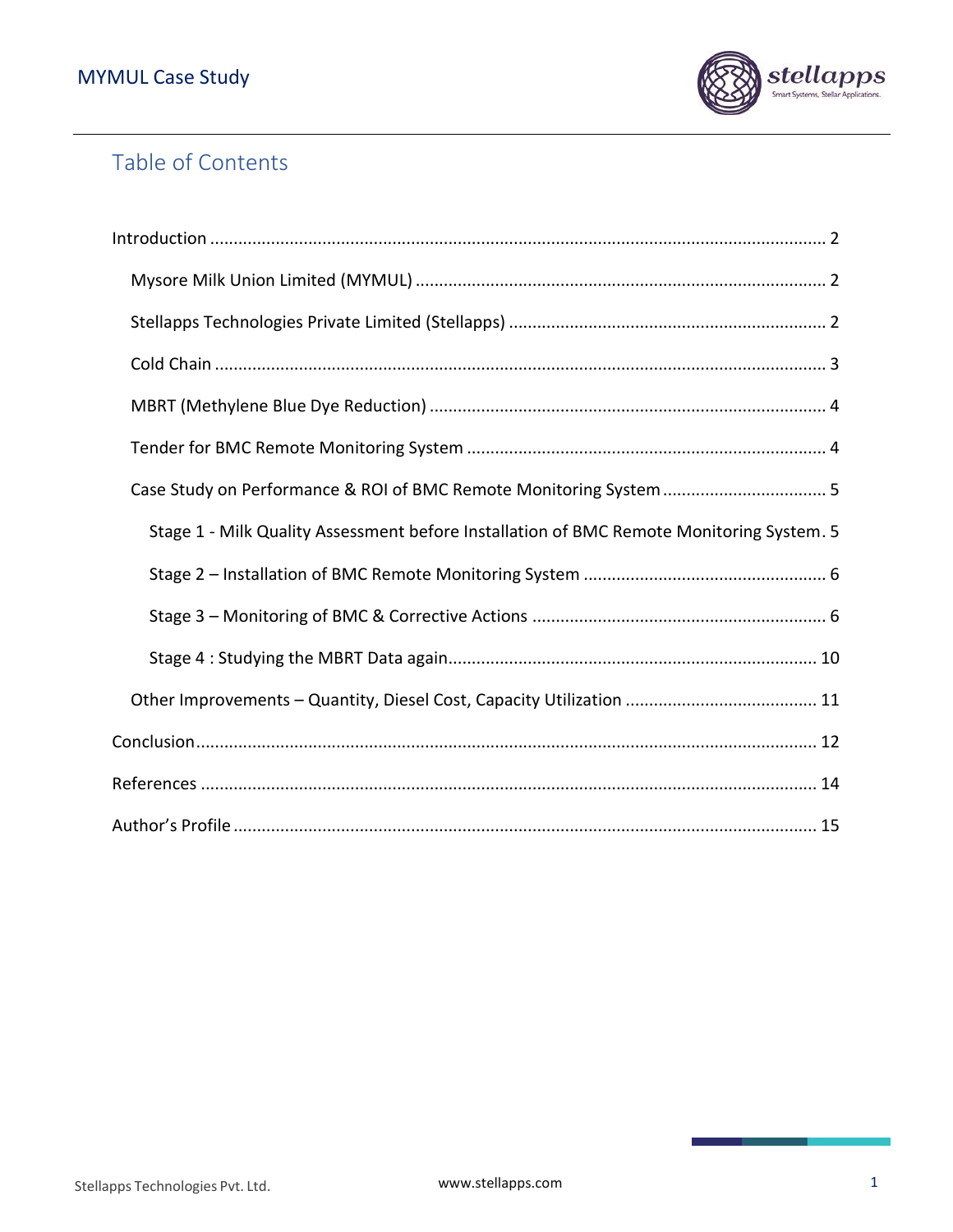

# Table of Contents

| Case Study on Performance & ROI of BMC Remote Monitoring System  5                       |
|------------------------------------------------------------------------------------------|
| Stage 1 - Milk Quality Assessment before Installation of BMC Remote Monitoring System. 5 |
|                                                                                          |
|                                                                                          |
|                                                                                          |
|                                                                                          |
|                                                                                          |
|                                                                                          |
|                                                                                          |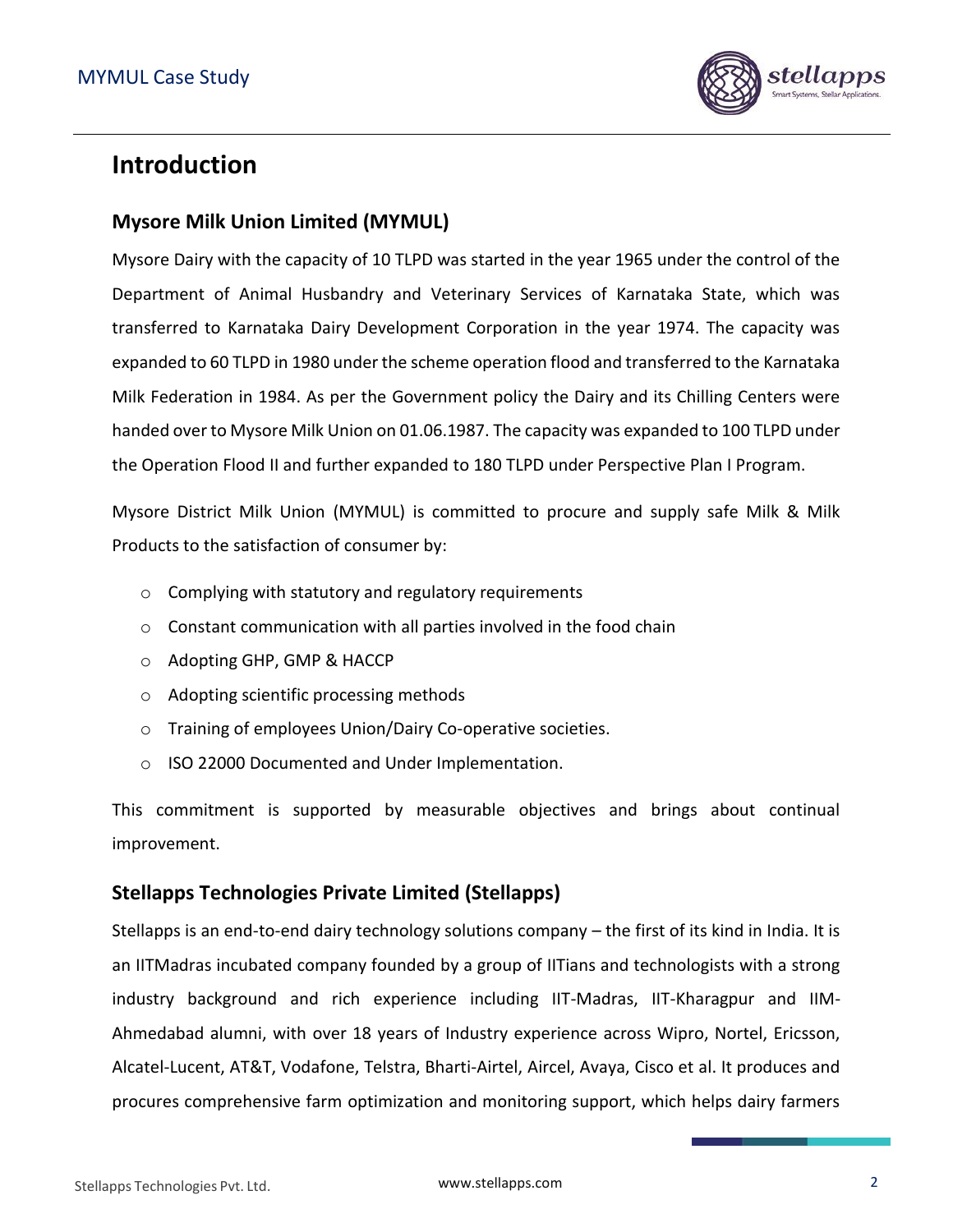

## <span id="page-2-0"></span>**Introduction**

### <span id="page-2-1"></span>**Mysore Milk Union Limited (MYMUL)**

Mysore Dairy with the capacity of 10 TLPD was started in the year 1965 under the control of the Department of Animal Husbandry and Veterinary Services of Karnataka State, which was transferred to Karnataka Dairy Development Corporation in the year 1974. The capacity was expanded to 60 TLPD in 1980 under the scheme operation flood and transferred to the Karnataka Milk Federation in 1984. As per the Government policy the Dairy and its Chilling Centers were handed over to Mysore Milk Union on 01.06.1987. The capacity was expanded to 100 TLPD under the Operation Flood II and further expanded to 180 TLPD under Perspective Plan I Program.

Mysore District Milk Union (MYMUL) is committed to procure and supply safe Milk & Milk Products to the satisfaction of consumer by:

- o Complying with statutory and regulatory requirements
- o Constant communication with all parties involved in the food chain
- o Adopting GHP, GMP & HACCP
- o Adopting scientific processing methods
- o Training of employees Union/Dairy Co-operative societies.
- o ISO 22000 Documented and Under Implementation.

This commitment is supported by measurable objectives and brings about continual improvement.

### <span id="page-2-2"></span>**Stellapps Technologies Private Limited (Stellapps)**

Stellapps is an end-to-end dairy technology solutions company – the first of its kind in India. It is an IITMadras incubated company founded by a group of IITians and technologists with a strong industry background and rich experience including IIT-Madras, IIT-Kharagpur and IIM-Ahmedabad alumni, with over 18 years of Industry experience across Wipro, Nortel, Ericsson, Alcatel-Lucent, AT&T, Vodafone, Telstra, Bharti-Airtel, Aircel, Avaya, Cisco et al. It produces and procures comprehensive farm optimization and monitoring support, which helps dairy farmers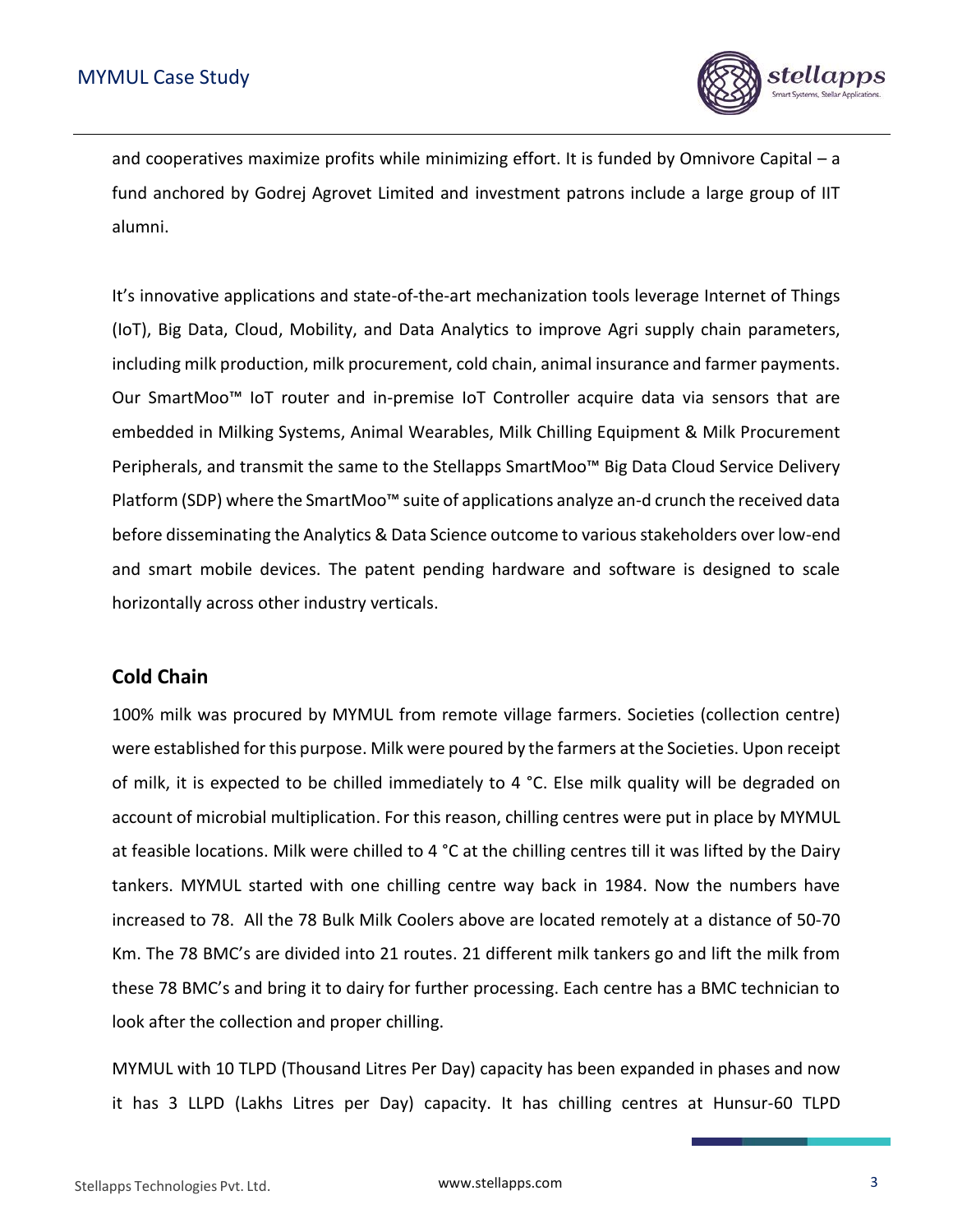

and cooperatives maximize profits while minimizing effort. It is funded by Omnivore Capital – a fund anchored by Godrej Agrovet Limited and investment patrons include a large group of IIT alumni.

It's innovative applications and state-of-the-art mechanization tools leverage Internet of Things (IoT), Big Data, Cloud, Mobility, and Data Analytics to improve Agri supply chain parameters, including milk production, milk procurement, cold chain, animal insurance and farmer payments. Our SmartMoo™ IoT router and in-premise IoT Controller acquire data via sensors that are embedded in Milking Systems, Animal Wearables, Milk Chilling Equipment & Milk Procurement Peripherals, and transmit the same to the Stellapps SmartMoo™ Big Data Cloud Service Delivery Platform (SDP) where the SmartMoo™ suite of applications analyze an-d crunch the received data before disseminating the Analytics & Data Science outcome to various stakeholders over low-end and smart mobile devices. The patent pending hardware and software is designed to scale horizontally across other industry verticals.

#### <span id="page-3-0"></span>**Cold Chain**

100% milk was procured by MYMUL from remote village farmers. Societies (collection centre) were established for this purpose. Milk were poured by the farmers at the Societies. Upon receipt of milk, it is expected to be chilled immediately to 4 °C. Else milk quality will be degraded on account of microbial multiplication. For this reason, chilling centres were put in place by MYMUL at feasible locations. Milk were chilled to 4 °C at the chilling centres till it was lifted by the Dairy tankers. MYMUL started with one chilling centre way back in 1984. Now the numbers have increased to 78. All the 78 Bulk Milk Coolers above are located remotely at a distance of 50-70 Km. The 78 BMC's are divided into 21 routes. 21 different milk tankers go and lift the milk from these 78 BMC's and bring it to dairy for further processing. Each centre has a BMC technician to look after the collection and proper chilling.

MYMUL with 10 TLPD (Thousand Litres Per Day) capacity has been expanded in phases and now it has 3 LLPD (Lakhs Litres per Day) capacity. It has chilling centres at Hunsur-60 TLPD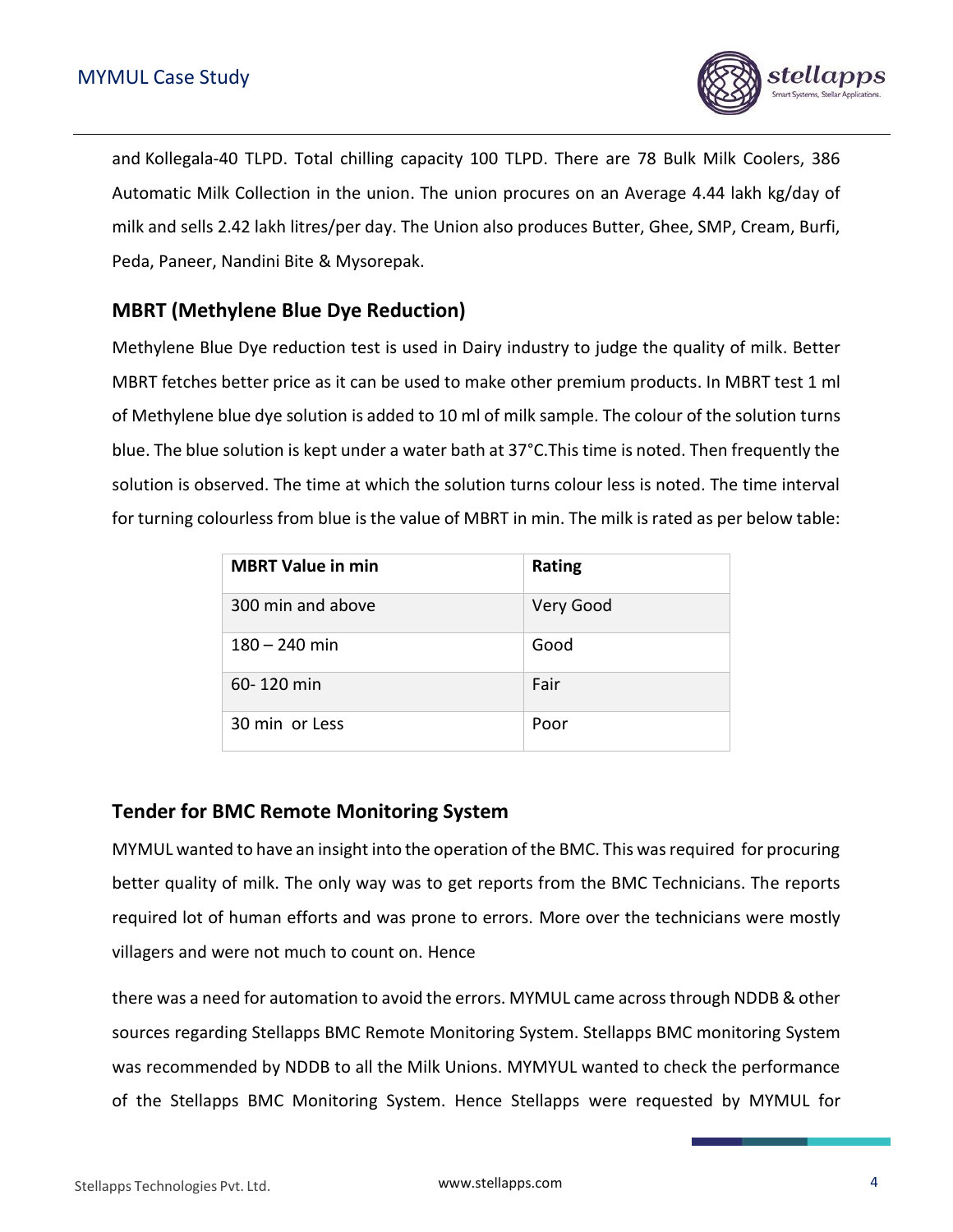

and Kollegala-40 TLPD. Total chilling capacity 100 TLPD. There are 78 Bulk Milk Coolers, 386 Automatic Milk Collection in the union. The union procures on an Average 4.44 lakh kg/day of milk and sells 2.42 lakh litres/per day. The Union also produces Butter, Ghee, SMP, Cream, Burfi, Peda, Paneer, Nandini Bite & Mysorepak.

### <span id="page-4-0"></span>**MBRT (Methylene Blue Dye Reduction)**

Methylene Blue Dye reduction test is used in Dairy industry to judge the quality of milk. Better MBRT fetches better price as it can be used to make other premium products. In MBRT test 1 ml of Methylene blue dye solution is added to 10 ml of milk sample. The colour of the solution turns blue. The blue solution is kept under a water bath at 37°C.This time is noted. Then frequently the solution is observed. The time at which the solution turns colour less is noted. The time interval for turning colourless from blue is the value of MBRT in min. The milk is rated as per below table:

| <b>MBRT Value in min</b> | <b>Rating</b> |
|--------------------------|---------------|
| 300 min and above        | Very Good     |
| $180 - 240$ min          | Good          |
| 60-120 min               | Fair          |
| 30 min or Less           | Poor          |

#### <span id="page-4-1"></span>**Tender for BMC Remote Monitoring System**

MYMUL wanted to have an insight into the operation of the BMC. This was required for procuring better quality of milk. The only way was to get reports from the BMC Technicians. The reports required lot of human efforts and was prone to errors. More over the technicians were mostly villagers and were not much to count on. Hence

there was a need for automation to avoid the errors. MYMUL came across through NDDB & other sources regarding Stellapps BMC Remote Monitoring System. Stellapps BMC monitoring System was recommended by NDDB to all the Milk Unions. MYMYUL wanted to check the performance of the Stellapps BMC Monitoring System. Hence Stellapps were requested by MYMUL for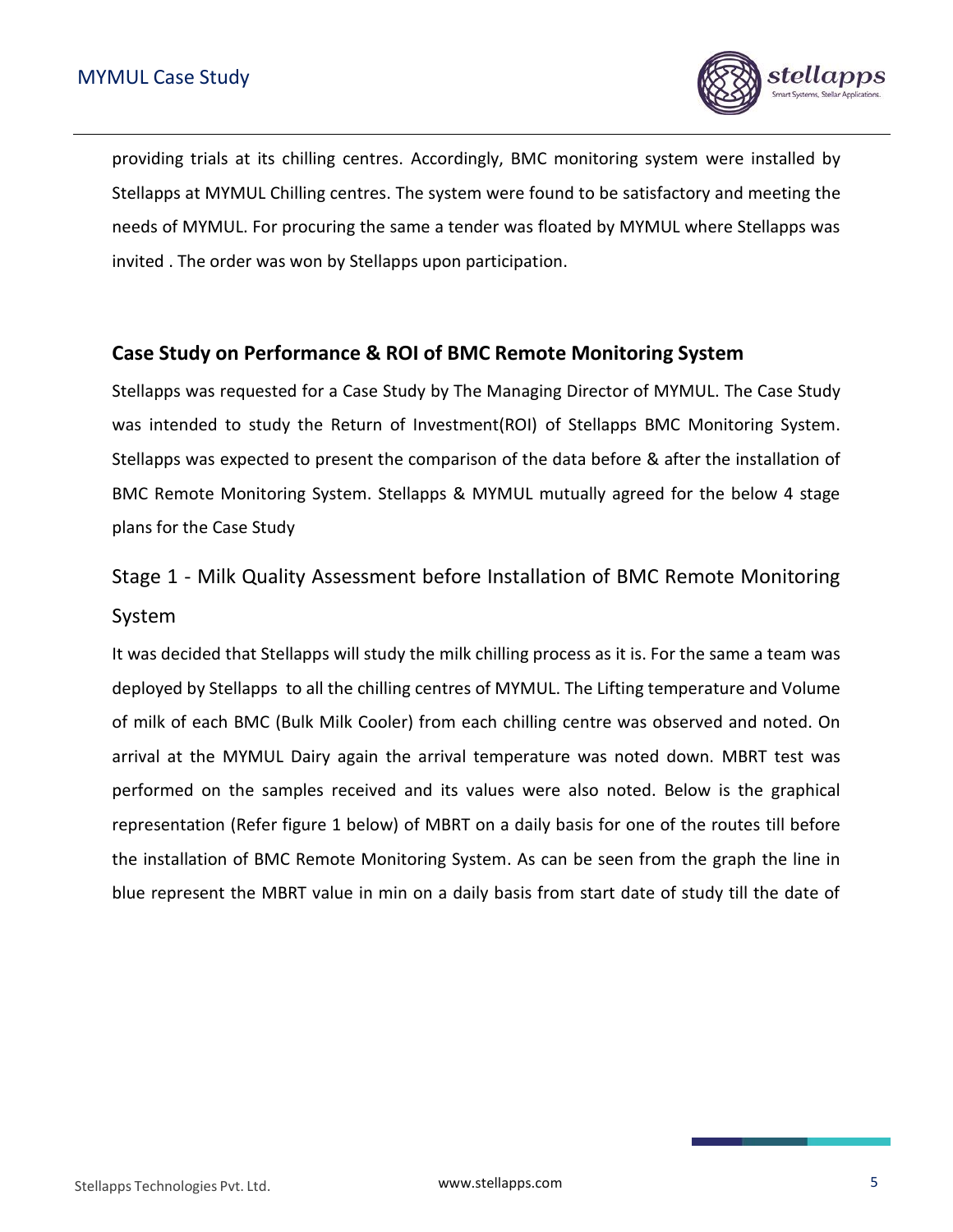

providing trials at its chilling centres. Accordingly, BMC monitoring system were installed by Stellapps at MYMUL Chilling centres. The system were found to be satisfactory and meeting the needs of MYMUL. For procuring the same a tender was floated by MYMUL where Stellapps was invited . The order was won by Stellapps upon participation.

### <span id="page-5-0"></span>**Case Study on Performance & ROI of BMC Remote Monitoring System**

Stellapps was requested for a Case Study by The Managing Director of MYMUL. The Case Study was intended to study the Return of Investment(ROI) of Stellapps BMC Monitoring System. Stellapps was expected to present the comparison of the data before & after the installation of BMC Remote Monitoring System. Stellapps & MYMUL mutually agreed for the below 4 stage plans for the Case Study

# <span id="page-5-1"></span>Stage 1 - Milk Quality Assessment before Installation of BMC Remote Monitoring System

It was decided that Stellapps will study the milk chilling process as it is. For the same a team was deployed by Stellapps to all the chilling centres of MYMUL. The Lifting temperature and Volume of milk of each BMC (Bulk Milk Cooler) from each chilling centre was observed and noted. On arrival at the MYMUL Dairy again the arrival temperature was noted down. MBRT test was performed on the samples received and its values were also noted. Below is the graphical representation (Refer figure 1 below) of MBRT on a daily basis for one of the routes till before the installation of BMC Remote Monitoring System. As can be seen from the graph the line in blue represent the MBRT value in min on a daily basis from start date of study till the date of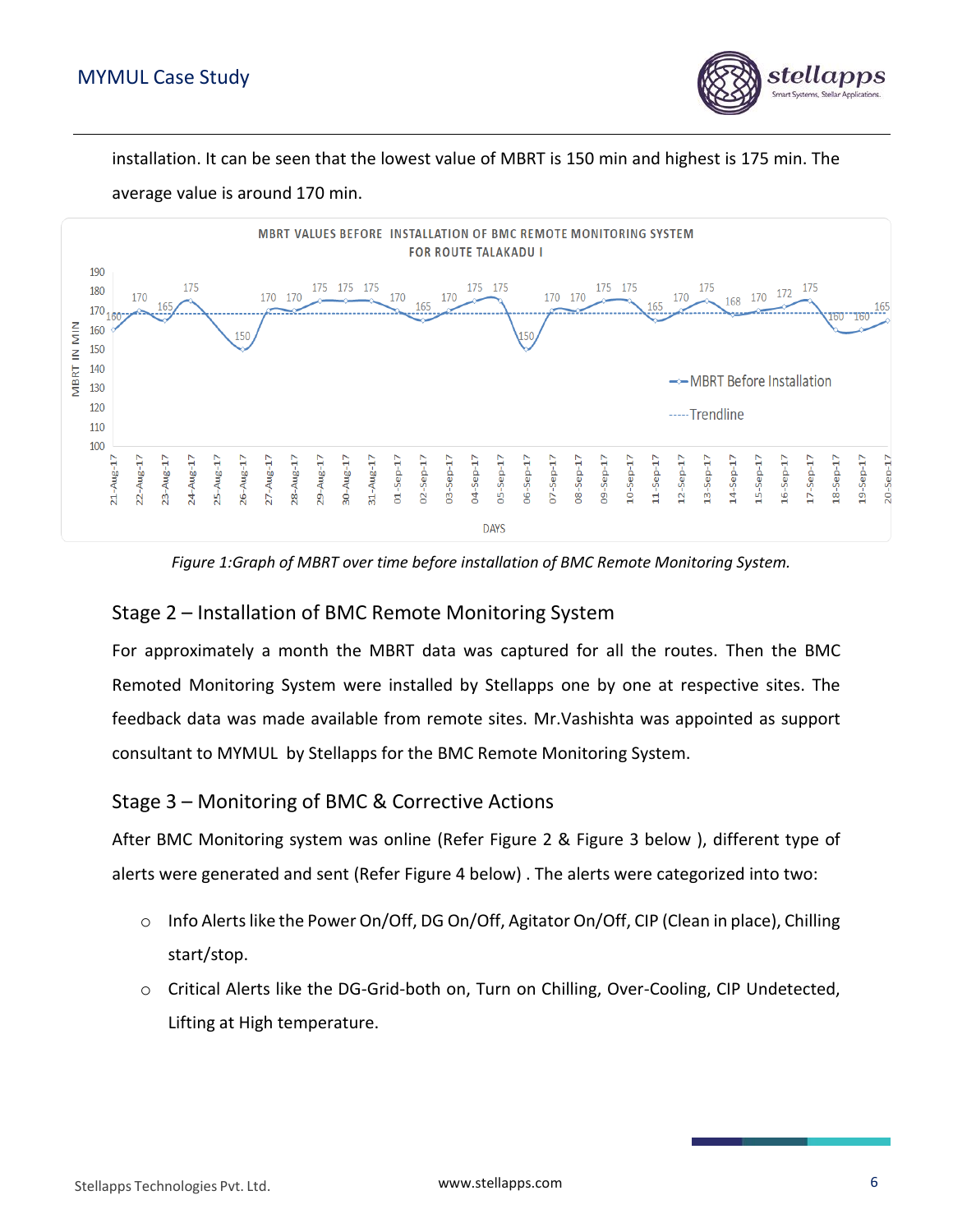

installation. It can be seen that the lowest value of MBRT is 150 min and highest is 175 min. The



average value is around 170 min.

*Figure 1:Graph of MBRT over time before installation of BMC Remote Monitoring System.*

#### <span id="page-6-0"></span>Stage 2 – Installation of BMC Remote Monitoring System

For approximately a month the MBRT data was captured for all the routes. Then the BMC Remoted Monitoring System were installed by Stellapps one by one at respective sites. The feedback data was made available from remote sites. Mr.Vashishta was appointed as support consultant to MYMUL by Stellapps for the BMC Remote Monitoring System.

#### <span id="page-6-1"></span>Stage 3 – Monitoring of BMC & Corrective Actions

After BMC Monitoring system was online (Refer Figure 2 & Figure 3 below ), different type of alerts were generated and sent (Refer Figure 4 below) . The alerts were categorized into two:

- o Info Alerts like the Power On/Off, DG On/Off, Agitator On/Off, CIP (Clean in place), Chilling start/stop.
- o Critical Alerts like the DG-Grid-both on, Turn on Chilling, Over-Cooling, CIP Undetected, Lifting at High temperature.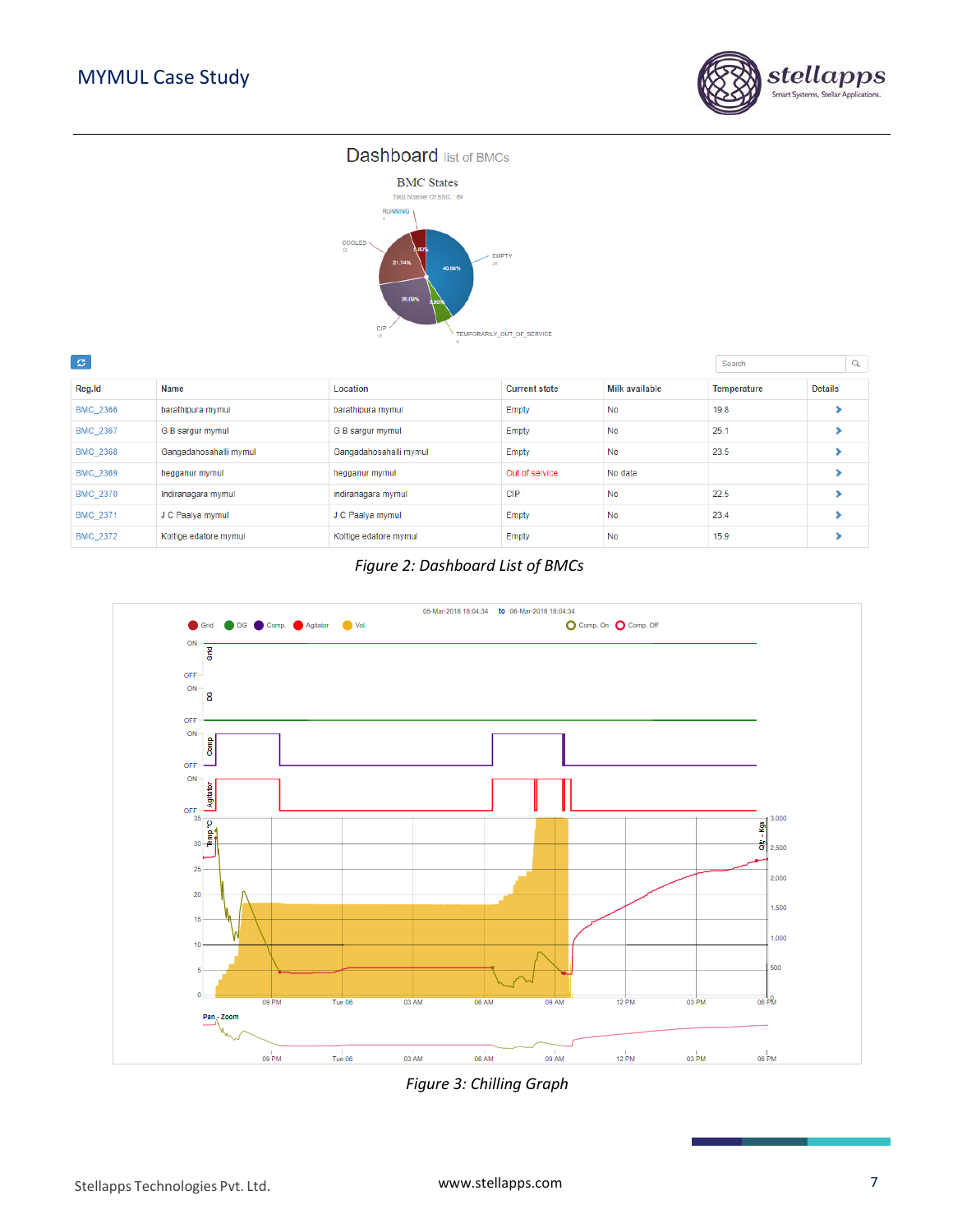

#### **Dashboard** list of BMCs



| $\mathbb{C}$    |                        |                        |                      |                |             |                | $\alpha$ |
|-----------------|------------------------|------------------------|----------------------|----------------|-------------|----------------|----------|
| Reg.Id          | Name                   | Location               | <b>Current state</b> | Milk available | Temperature | <b>Details</b> |          |
| <b>BMC 2366</b> | barathipura mymul      | barathipura mymul      | Empty                | No             | 19.8        |                |          |
| <b>BMC 2367</b> | G B sargur mymul       | G B sargur mymul       | Empty                | No             | 25.1        |                |          |
| <b>BMC 2368</b> | Gangadahosahalli mymul | Gangadahosahalli mymul | Empty                | No             | 23.5        |                |          |
| <b>BMC 2369</b> | hegganur mymul         | hegganur mymul         | Out of service       | No data        |             |                |          |
| BMC_2370        | Indiranagara mymul     | indiranagara mymul     | <b>CIP</b>           | No             | 22.5        |                |          |
| <b>BMC 2371</b> | J C Paalya mymul       | J C Paalya mymul       | Empty                | No             | 23.4        |                |          |
| <b>BMC 2372</b> | Kottige edatore mymul  | Kottige edatore mymul  | Empty                | No             | 15.9        |                |          |
|                 |                        |                        |                      |                |             |                |          |

#### *Figure 2: Dashboard List of BMCs*



*Figure 3: Chilling Graph*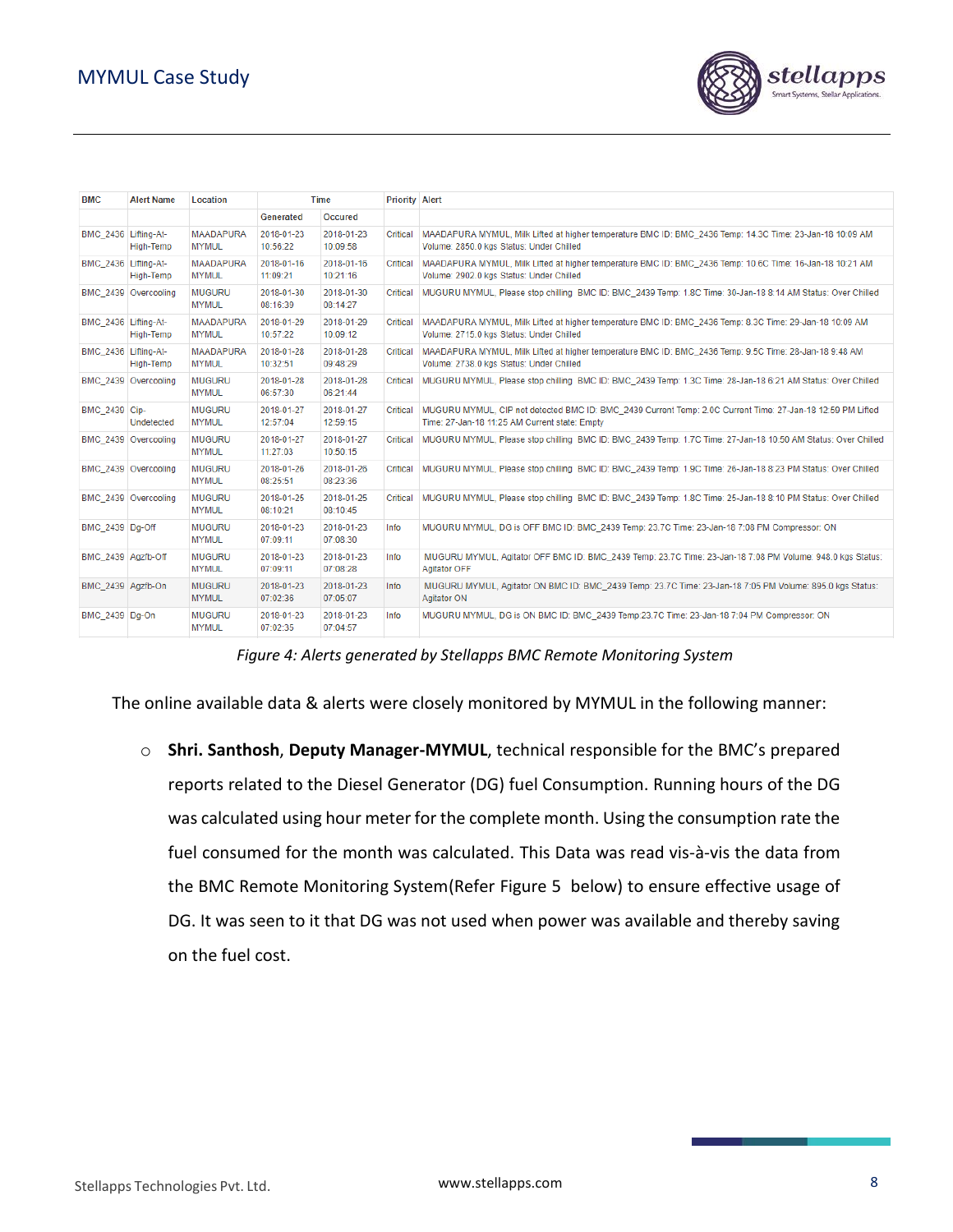

| <b>BMC</b>           | <b>Alert Name</b>    | Location                         | <b>Time</b>            |                        | <b>Priority Alert</b> |                                                                                                                                                             |
|----------------------|----------------------|----------------------------------|------------------------|------------------------|-----------------------|-------------------------------------------------------------------------------------------------------------------------------------------------------------|
|                      |                      |                                  | Generated              | <b>Occured</b>         |                       |                                                                                                                                                             |
| BMC 2436 Lifting-At- | High-Temp            | <b>MAADAPURA</b><br><b>MYMUL</b> | 2018-01-23<br>10:56:22 | 2018-01-23<br>10:09:58 | Critical              | MAADAPURA MYMUL, Milk Lifted at higher temperature BMC ID: BMC 2436 Temp: 14.3C Time: 23-Jan-18 10:09 AM<br>Volume: 2850.0 kgs Status: Under Chilled        |
| BMC 2436 Lifting-At- | High-Temp            | <b>MAADAPURA</b><br><b>MYMUL</b> | 2018-01-16<br>11:09:21 | 2018-01-16<br>10:21:16 | Critical              | MAADAPURA MYMUL, Milk Lifted at higher temperature BMC ID: BMC_2436 Temp: 10.6C Time: 16-Jan-18 10:21 AM<br>Volume: 2902.0 kgs Status: Under Chilled        |
|                      | BMC 2439 Overcooling | <b>MUGURU</b><br><b>MYMUL</b>    | 2018-01-30<br>08:16:39 | 2018-01-30<br>08:14:27 | Critical              | MUGURU MYMUL, Please stop chilling BMC ID: BMC_2439 Temp: 1.8C Time: 30-Jan-18 8:14 AM Status: Over Chilled                                                 |
| BMC 2436 Lifting-At- | High-Temp            | <b>MAADAPURA</b><br><b>MYMUL</b> | 2018-01-29<br>10:57:22 | 2018-01-29<br>10:09:12 | Critical              | MAADAPURA MYMUL, Milk Lifted at higher temperature BMC ID: BMC_2436 Temp: 8.3C Time: 29-Jan-18 10:09 AM<br>Volume: 2715.0 kgs Status: Under Chilled         |
| BMC 2436 Lifting-At- | High-Temp            | <b>MAADAPURA</b><br><b>MYMUL</b> | 2018-01-28<br>10:32:51 | 2018-01-28<br>09:48:29 | Critical              | MAADAPURA MYMUL, Milk Lifted at higher temperature BMC ID: BMC 2436 Temp: 9.5C Time: 28-Jan-18 9:48 AM<br>Volume: 2738.0 kgs Status: Under Chilled          |
|                      | BMC 2439 Overcooling | <b>MUGURU</b><br><b>MYMUL</b>    | 2018-01-28<br>06:57:30 | 2018-01-28<br>06:21:44 | Critical              | MUGURU MYMUL, Please stop chilling BMC ID: BMC 2439 Temp: 1.3C Time: 28-Jan-18 6:21 AM Status: Over Chilled                                                 |
| BMC 2439 Cip-        | Undetected           | <b>MUGURU</b><br><b>MYMUL</b>    | 2018-01-27<br>12:57:04 | 2018-01-27<br>12:59:15 | Critical              | MUGURU MYMUL, CIP not detected BMC ID: BMC_2439 Current Temp: 2.0C Current Time: 27-Jan-18 12:59 PM Lifted<br>Time: 27-Jan-18 11:25 AM Current state: Empty |
|                      | BMC 2439 Overcooling | <b>MUGURU</b><br><b>MYMUL</b>    | 2018-01-27<br>11:27:03 | 2018-01-27<br>10:50:15 | Critical              | MUGURU MYMUL, Please stop chilling BMC ID: BMC 2439 Temp: 1.7C Time: 27-Jan-18 10:50 AM Status: Over Chilled                                                |
|                      | BMC 2439 Overcooling | <b>MUGURU</b><br><b>MYMUL</b>    | 2018-01-26<br>08:25:51 | 2018-01-26<br>08:23:36 | Critical              | MUGURU MYMUL, Please stop chilling BMC ID: BMC_2439 Temp: 1.9C Time: 26-Jan-18 8:23 PM Status: Over Chilled                                                 |
|                      | BMC 2439 Overcooling | <b>MUGURU</b><br><b>MYMUL</b>    | 2018-01-25<br>08:10:21 | 2018-01-25<br>08:10:45 | Critical              | MUGURU MYMUL, Please stop chilling BMC ID: BMC_2439 Temp: 1.8C Time: 25-Jan-18 8:10 PM Status: Over Chilled                                                 |
| BMC 2439 Dq-Off      |                      | <b>MUGURU</b><br><b>MYMUL</b>    | 2018-01-23<br>07:09:11 | 2018-01-23<br>07:08:30 | Info                  | MUGURU MYMUL, DG is OFF BMC ID: BMC 2439 Temp: 23.7C Time: 23-Jan-18 7:08 PM Compressor: ON                                                                 |
| BMC_2439 Agzfb-Off   |                      | <b>MUGURU</b><br><b>MYMUL</b>    | 2018-01-23<br>07:09:11 | 2018-01-23<br>07:08:28 | Info                  | MUGURU MYMUL, Agitator OFF BMC ID: BMC 2439 Temp: 23.7C Time: 23-Jan-18 7:08 PM Volume: 948.0 kgs Status:<br><b>Agitator OFF</b>                            |
| BMC 2439 Agzfb-On    |                      | <b>MUGURU</b><br><b>MYMUL</b>    | 2018-01-23<br>07:02:36 | 2018-01-23<br>07:05:07 | Info                  | MUGURU MYMUL, Agitator ON BMC ID: BMC_2439 Temp: 23.7C Time: 23-Jan-18 7:05 PM Volume: 895.0 kgs Status:<br>Agitator ON                                     |
| BMC 2439 Dq-On       |                      | <b>MUGURU</b><br><b>MYMUL</b>    | 2018-01-23<br>07:02:35 | 2018-01-23<br>07:04:57 | Info                  | MUGURU MYMUL. DG is ON BMC ID: BMC 2439 Temp:23.7C Time: 23-Jan-18 7:04 PM Compressor: ON                                                                   |

*Figure 4: Alerts generated by Stellapps BMC Remote Monitoring System*

The online available data & alerts were closely monitored by MYMUL in the following manner:

o **Shri. Santhosh**, **Deputy Manager-MYMUL**, technical responsible for the BMC's prepared reports related to the Diesel Generator (DG) fuel Consumption. Running hours of the DG was calculated using hour meter for the complete month. Using the consumption rate the fuel consumed for the month was calculated. This Data was read vis-à-vis the data from the BMC Remote Monitoring System(Refer Figure 5 below) to ensure effective usage of DG. It was seen to it that DG was not used when power was available and thereby saving on the fuel cost.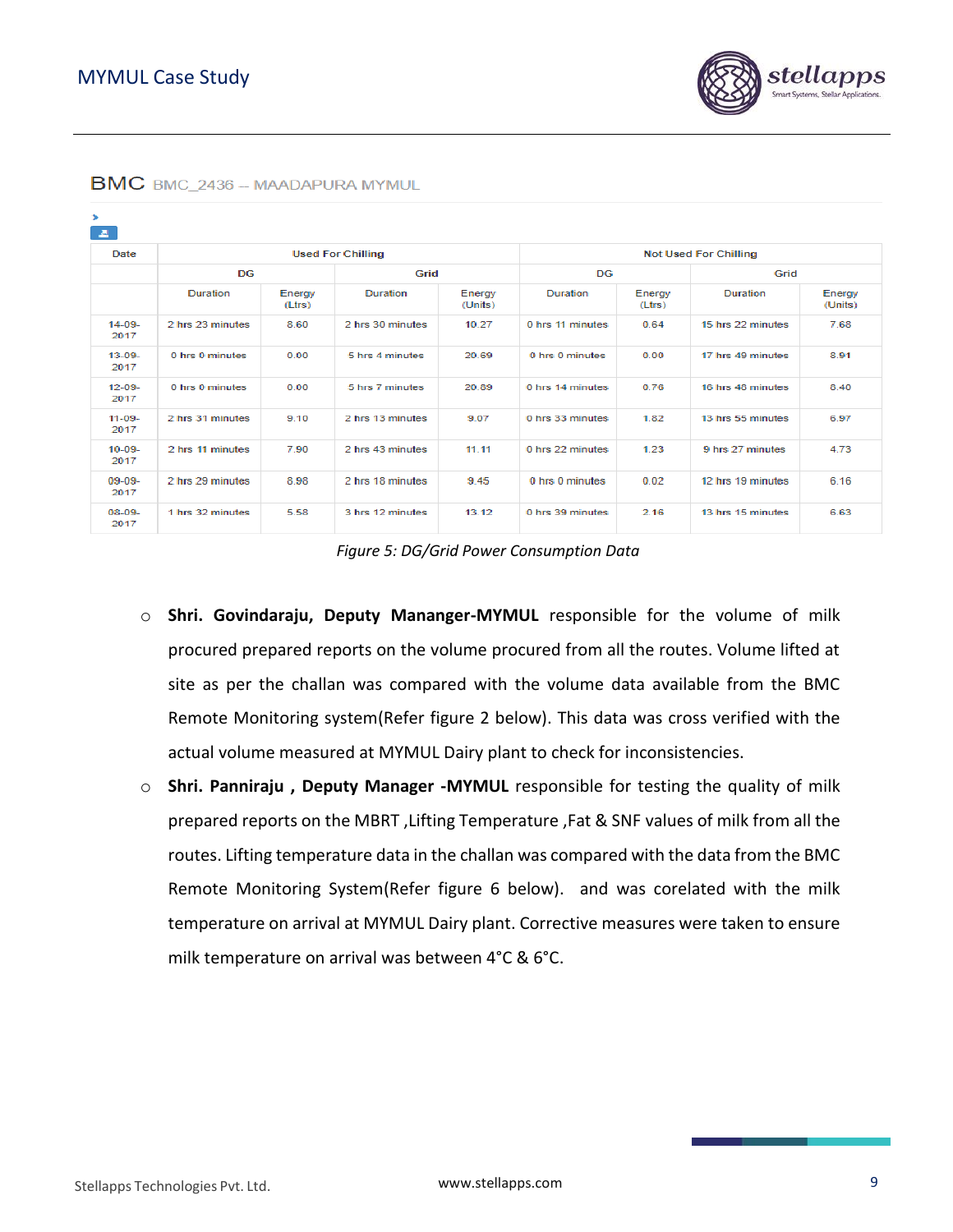| BMC BMC_2436 - MAADAPURA MYMUL |                  |                  |                          |                   |                              |                  |                   |                   |  |  |
|--------------------------------|------------------|------------------|--------------------------|-------------------|------------------------------|------------------|-------------------|-------------------|--|--|
| ×.<br><b>A</b>                 |                  |                  |                          |                   |                              |                  |                   |                   |  |  |
| Date                           |                  |                  | <b>Used For Chilling</b> |                   | <b>Not Used For Chilling</b> |                  |                   |                   |  |  |
|                                | <b>DG</b>        |                  | Grid                     |                   | <b>DG</b>                    |                  | Grid              |                   |  |  |
|                                | Duration         | Energy<br>(Ltrs) | <b>Duration</b>          | Energy<br>(Units) | <b>Duration</b>              | Energy<br>(Ltrs) | Duration          | Energy<br>(Units) |  |  |
| $14 - 09 -$<br>2017            | 2 hrs 23 minutes | 8.60             | 2 hrs 30 minutes         | 10.27             | 0 hrs 11 minutes             | 0.64             | 15 hrs 22 minutes | 7.68              |  |  |
| $13 - 09 -$<br>2017            | 0 hrs 0 minutes  | 0.00             | 5 hrs 4 minutes          | 20.69             | 0 hrs 0 minutes              | 0.00             | 17 hrs 49 minutes | 8.91              |  |  |
| $12 - 09 -$<br>2017            | 0 hrs 0 minutes  | 0.00             | 5 hrs 7 minutes          | 20.89             | 0 hrs 14 minutes             | 0.76             | 16 hrs 48 minutes | 8.40              |  |  |
| $11 - 09 -$<br>2017            | 2 hrs 31 minutes | 9.10             | 2 hrs 13 minutes         | 9.07              | 0 hrs 33 minutes             | 1.82             | 13 hrs 55 minutes | 6.97              |  |  |
| $10 - 09 -$<br>2017            | 2 hrs 11 minutes | 7.90             | 2 hrs 43 minutes         | 11.11             | 0 hrs 22 minutes             | 1.23             | 9 hrs 27 minutes  | 4.73              |  |  |
| $09-09-$<br>2017               | 2 hrs 29 minutes | 8.98             | 2 hrs 18 minutes         | 9.45              | 0 hrs 0 minutes              | 0.02             | 12 hrs 19 minutes | 6.16              |  |  |
| $08-09-$<br>2017               | 1 hrs 32 minutes | 5.58             | 3 hrs 12 minutes         | 13.12             | 0 hrs 39 minutes             | 2.16             | 13 hrs 15 minutes | 6.63              |  |  |

#### B

*Figure 5: DG/Grid Power Consumption Data*

- o **Shri. Govindaraju, Deputy Mananger-MYMUL** responsible for the volume of milk procured prepared reports on the volume procured from all the routes. Volume lifted at site as per the challan was compared with the volume data available from the BMC Remote Monitoring system(Refer figure 2 below). This data was cross verified with the actual volume measured at MYMUL Dairy plant to check for inconsistencies.
- o **Shri. Panniraju , Deputy Manager -MYMUL** responsible for testing the quality of milk prepared reports on the MBRT ,Lifting Temperature ,Fat & SNF values of milk from all the routes. Lifting temperature data in the challan was compared with the data from the BMC Remote Monitoring System(Refer figure 6 below). and was corelated with the milk temperature on arrival at MYMUL Dairy plant. Corrective measures were taken to ensure milk temperature on arrival was between 4°C & 6°C.

stellar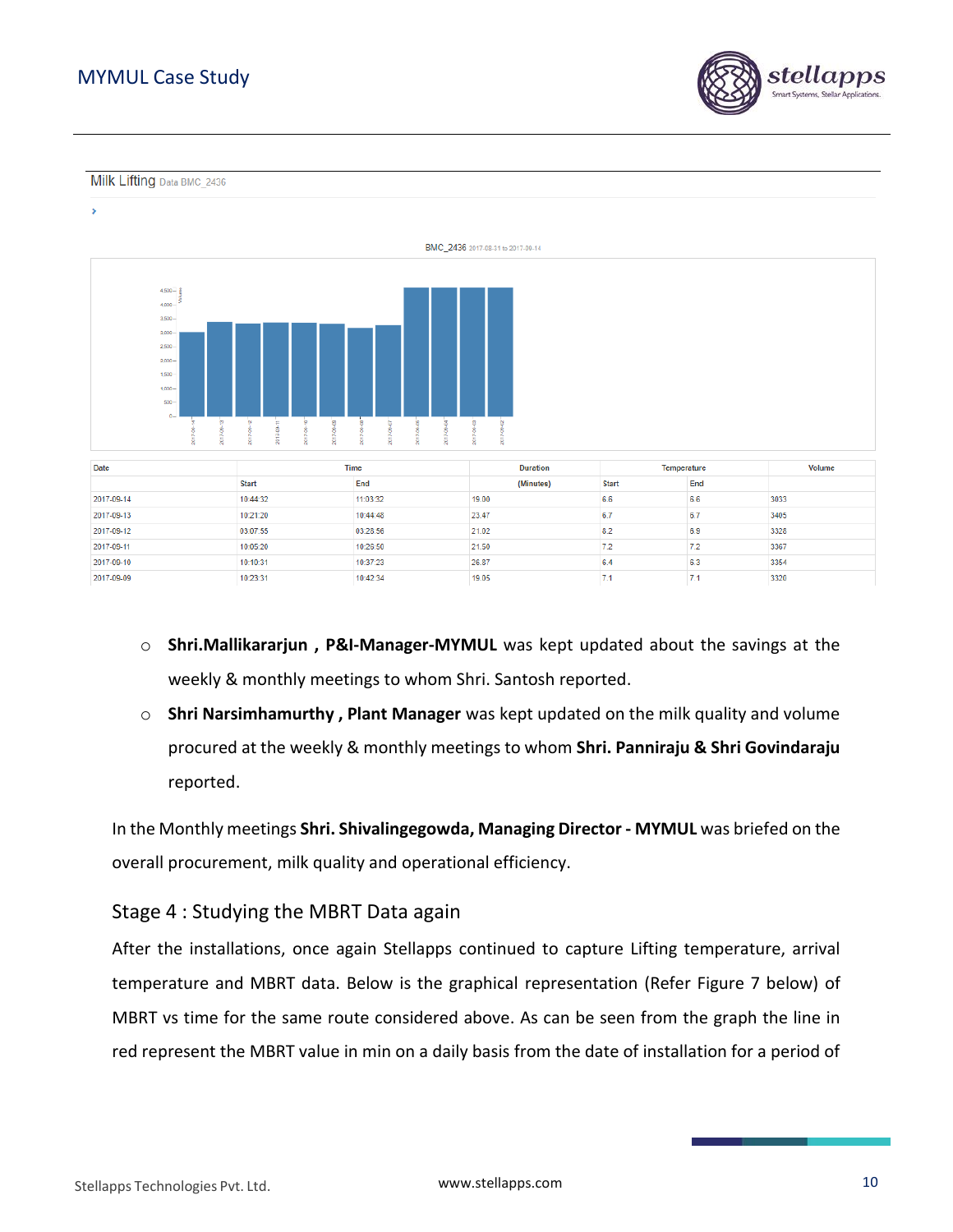### MYMUL Case Study



Milk Lifting Data BMC 2436





| <b>Date</b> |              | <b>Time</b> | <b>Duration</b> | Temperature  |     | <b>Volume</b> |
|-------------|--------------|-------------|-----------------|--------------|-----|---------------|
|             | <b>Start</b> | End         | (Minutes)       | <b>Start</b> | End |               |
| 2017-09-14  | 10:44:32     | 11:03:32    | 19.00           | 6.6          | 6.6 | 3033          |
| 2017-09-13  | 10:21:20     | 10:44:48    | 23.47           | 6.7          | 6.7 | 3405          |
| 2017-09-12  | 03:07:55     | 03:28:56    | 21.02           | 8.2          | 6.9 | 3328          |
| 2017-09-11  | 10:05:20     | 10:26:50    | 21.50           | 7.2          | 7.2 | 3367          |
| 2017-09-10  | 10:10:31     | 10:37:23    | 26.87           | 6.4          | 6.3 | 3354          |
| 2017-09-09  | 10:23:31     | 10:42:34    | 19.05           | -6.1         | 7.1 | 3320          |

- o **Shri.Mallikararjun , P&I-Manager-MYMUL** was kept updated about the savings at the weekly & monthly meetings to whom Shri. Santosh reported.
- o **Shri Narsimhamurthy , Plant Manager** was kept updated on the milk quality and volume procured at the weekly & monthly meetings to whom **Shri. Panniraju & Shri Govindaraju** reported.

In the Monthly meetings **Shri. Shivalingegowda, Managing Director - MYMUL** was briefed on the overall procurement, milk quality and operational efficiency.

#### <span id="page-10-0"></span>Stage 4 : Studying the MBRT Data again

After the installations, once again Stellapps continued to capture Lifting temperature, arrival temperature and MBRT data. Below is the graphical representation (Refer Figure 7 below) of MBRT vs time for the same route considered above. As can be seen from the graph the line in red represent the MBRT value in min on a daily basis from the date of installation for a period of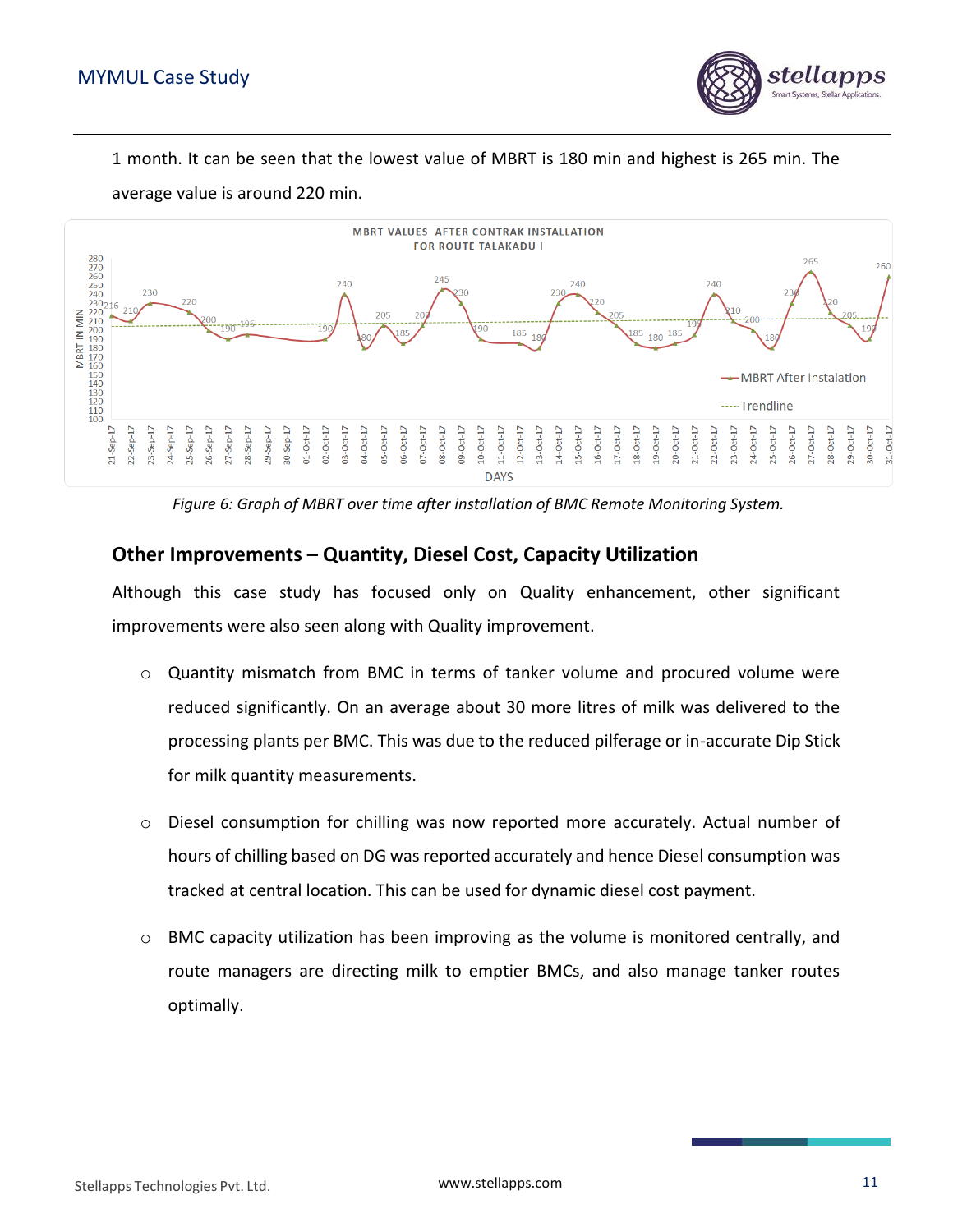

1 month. It can be seen that the lowest value of MBRT is 180 min and highest is 265 min. The average value is around 220 min.



*Figure 6: Graph of MBRT over time after installation of BMC Remote Monitoring System.*

#### <span id="page-11-0"></span>**Other Improvements – Quantity, Diesel Cost, Capacity Utilization**

Although this case study has focused only on Quality enhancement, other significant improvements were also seen along with Quality improvement.

- o Quantity mismatch from BMC in terms of tanker volume and procured volume were reduced significantly. On an average about 30 more litres of milk was delivered to the processing plants per BMC. This was due to the reduced pilferage or in-accurate Dip Stick for milk quantity measurements.
- $\circ$  Diesel consumption for chilling was now reported more accurately. Actual number of hours of chilling based on DG was reported accurately and hence Diesel consumption was tracked at central location. This can be used for dynamic diesel cost payment.
- o BMC capacity utilization has been improving as the volume is monitored centrally, and route managers are directing milk to emptier BMCs, and also manage tanker routes optimally.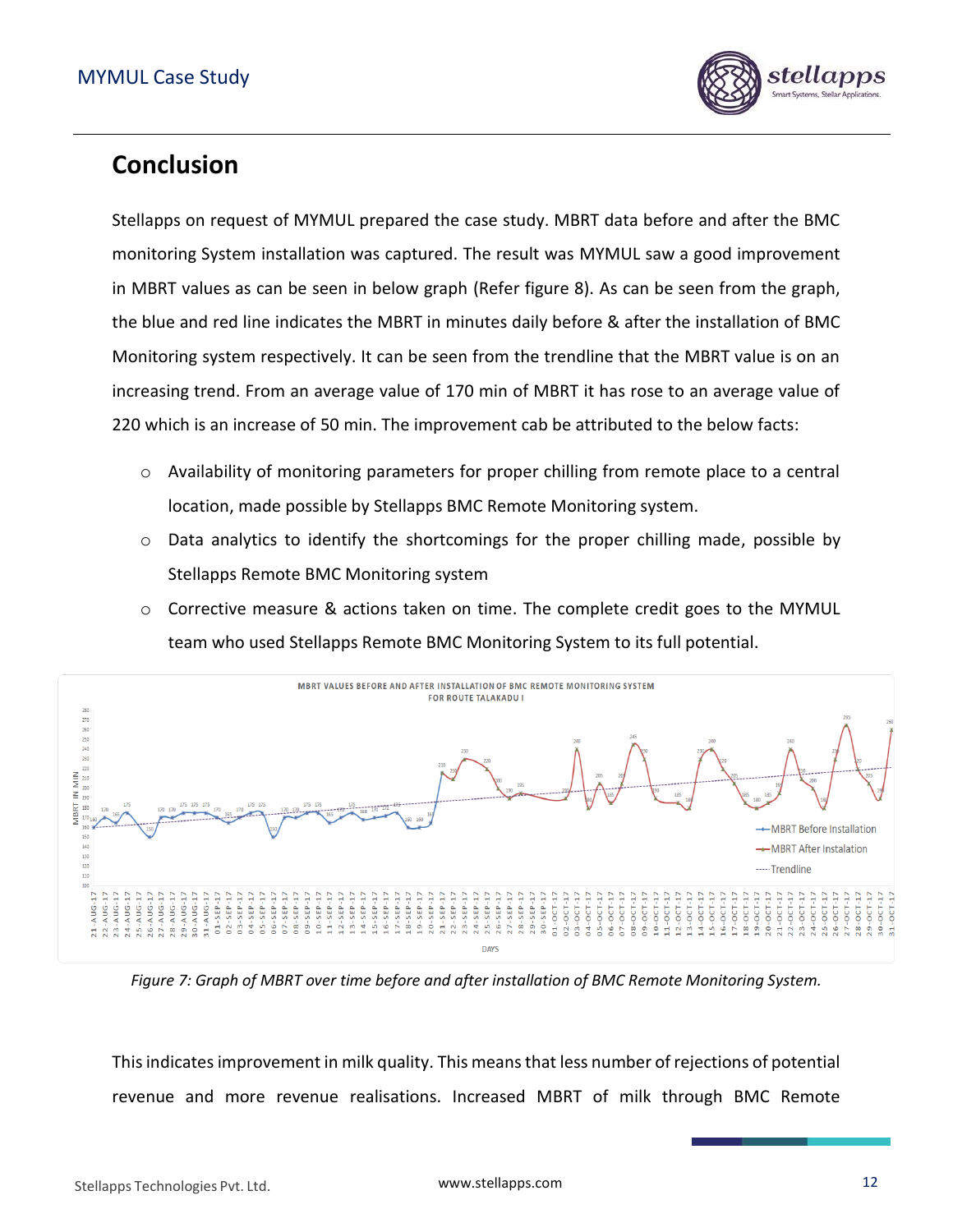

## <span id="page-12-0"></span>**Conclusion**

Stellapps on request of MYMUL prepared the case study. MBRT data before and after the BMC monitoring System installation was captured. The result was MYMUL saw a good improvement in MBRT values as can be seen in below graph (Refer figure 8). As can be seen from the graph, the blue and red line indicates the MBRT in minutes daily before & after the installation of BMC Monitoring system respectively. It can be seen from the trendline that the MBRT value is on an increasing trend. From an average value of 170 min of MBRT it has rose to an average value of 220 which is an increase of 50 min. The improvement cab be attributed to the below facts:

- $\circ$  Availability of monitoring parameters for proper chilling from remote place to a central location, made possible by Stellapps BMC Remote Monitoring system.
- $\circ$  Data analytics to identify the shortcomings for the proper chilling made, possible by Stellapps Remote BMC Monitoring system
- $\circ$  Corrective measure & actions taken on time. The complete credit goes to the MYMUL team who used Stellapps Remote BMC Monitoring System to its full potential.



*Figure 7: Graph of MBRT over time before and after installation of BMC Remote Monitoring System.*

This indicates improvement in milk quality. This means that less number of rejections of potential revenue and more revenue realisations. Increased MBRT of milk through BMC Remote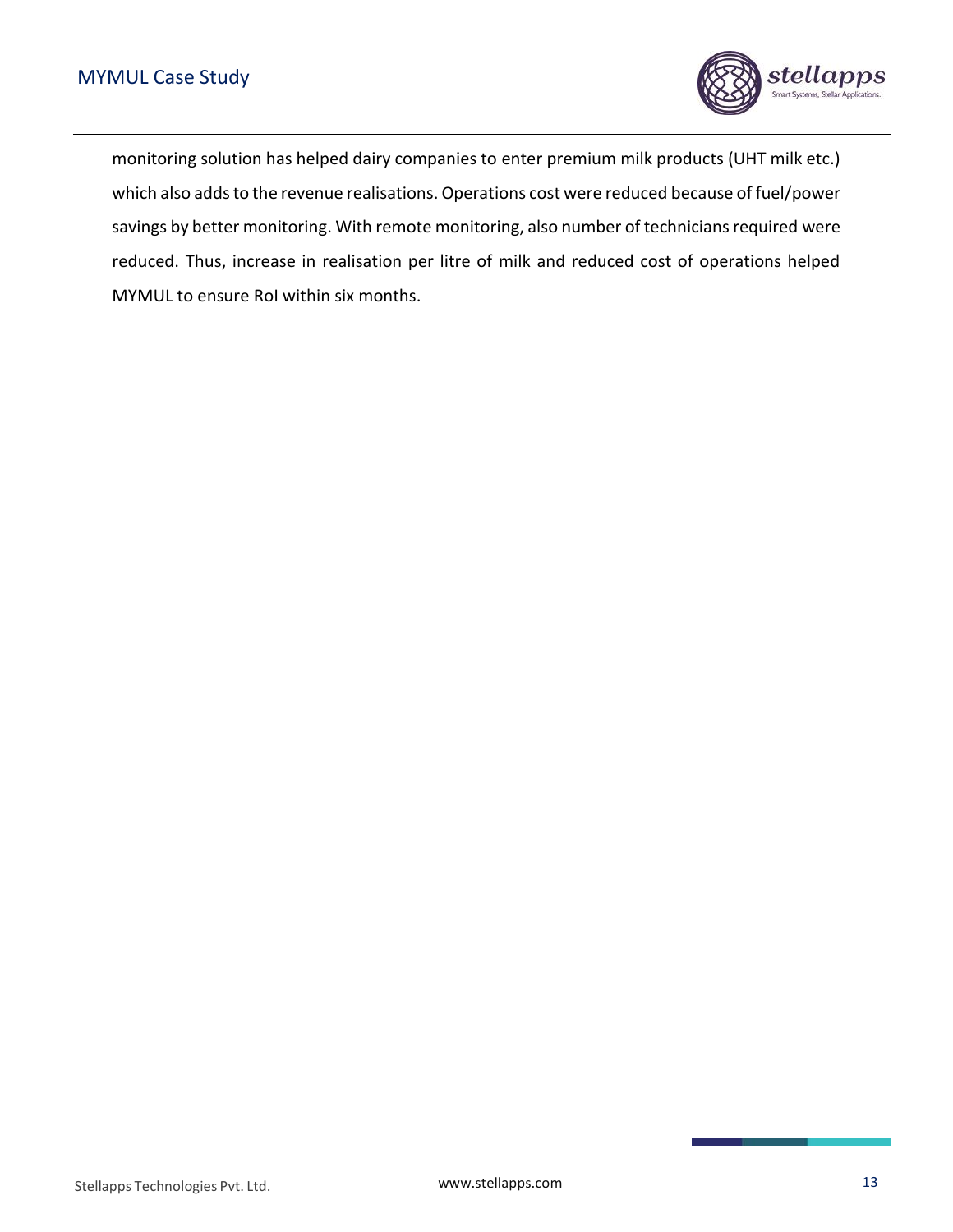

monitoring solution has helped dairy companies to enter premium milk products (UHT milk etc.) which also adds to the revenue realisations. Operations cost were reduced because of fuel/power savings by better monitoring. With remote monitoring, also number of technicians required were reduced. Thus, increase in realisation per litre of milk and reduced cost of operations helped MYMUL to ensure RoI within six months.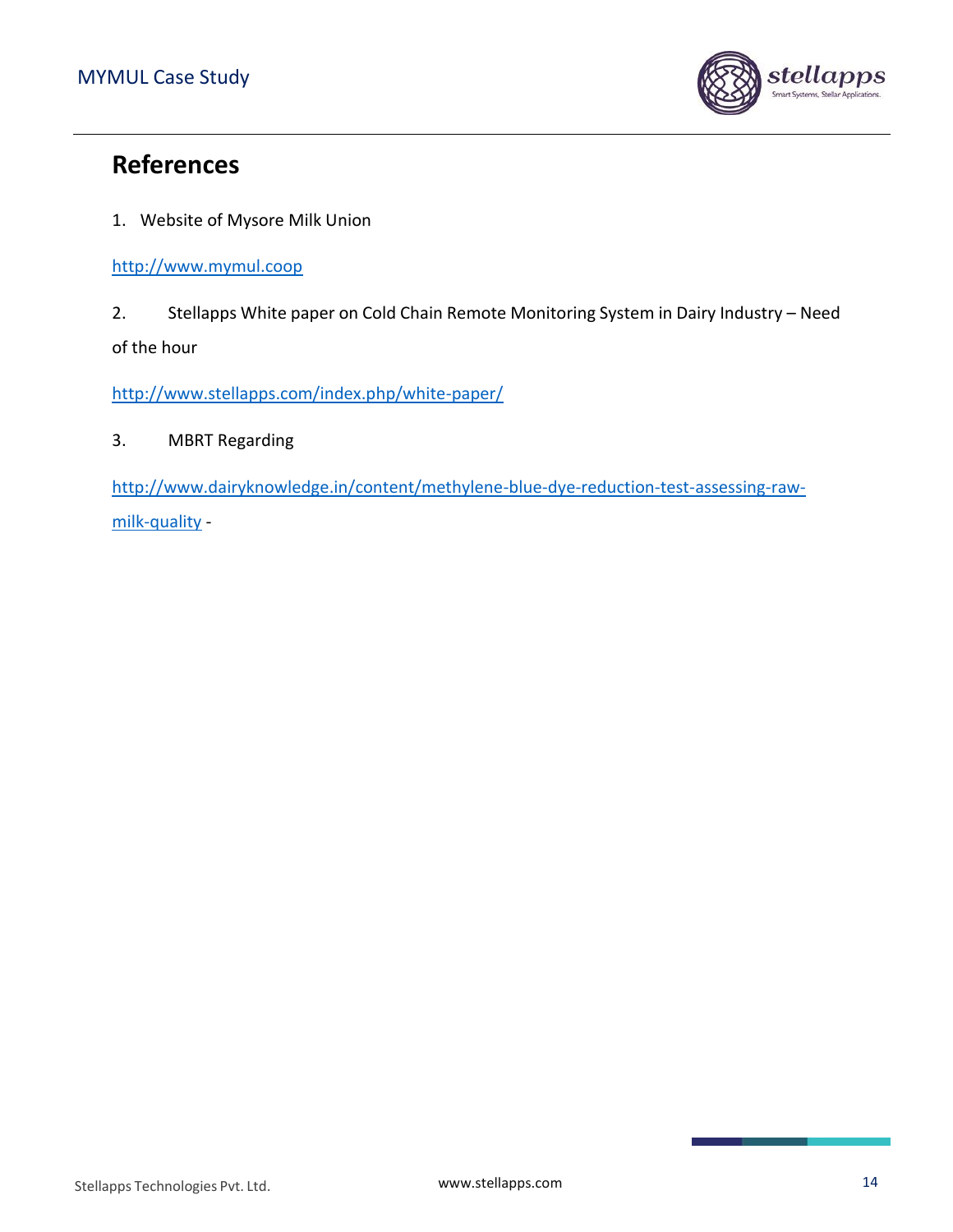

### <span id="page-14-0"></span>**References**

1. Website of Mysore Milk Union

[http://www.mymul.coop](http://www.mymul.coop/)

2. Stellapps White paper on Cold Chain Remote Monitoring System in Dairy Industry – Need of the hour

<http://www.stellapps.com/index.php/white-paper/>

#### 3. MBRT Regarding

[http://www.dairyknowledge.in/content/methylene-blue-dye-reduction-test-assessing-raw](http://www.dairyknowledge.in/content/methylene-blue-dye-reduction-test-assessing-raw-milk-quality)[milk-quality](http://www.dairyknowledge.in/content/methylene-blue-dye-reduction-test-assessing-raw-milk-quality) -